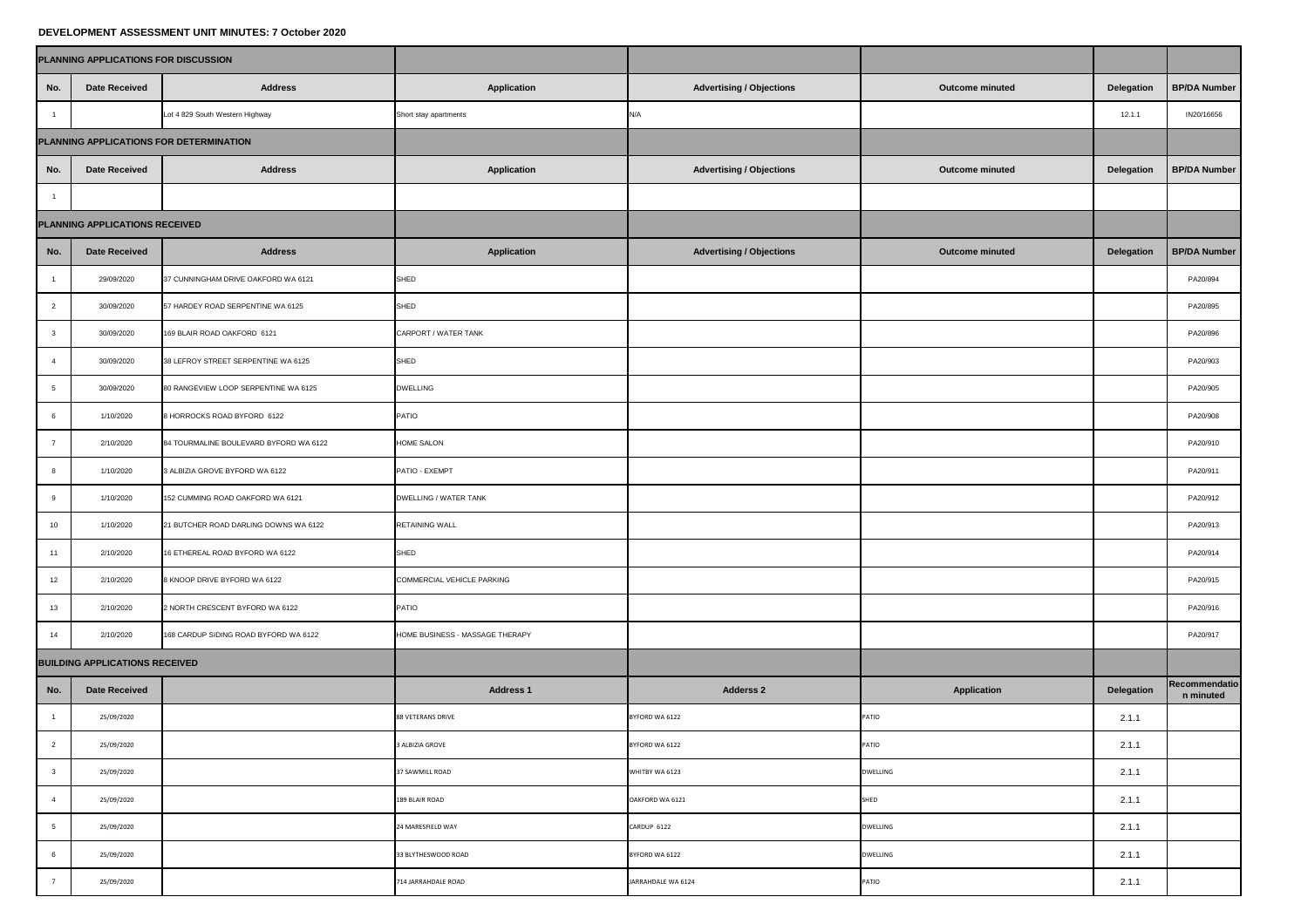## **DEVELOPMENT ASSESSMENT UNIT MINUTES: 7 October 2020**

| PLANNING APPLICATIONS FOR DISCUSSION    |                      |                                        |                                 |                                 |                        |                   |                            |
|-----------------------------------------|----------------------|----------------------------------------|---------------------------------|---------------------------------|------------------------|-------------------|----------------------------|
| No.                                     | <b>Date Received</b> | <b>Address</b>                         | <b>Application</b>              | <b>Advertising / Objections</b> | <b>Outcome minuted</b> | <b>Delegation</b> | <b>BP/DA Number</b>        |
|                                         |                      | Lot 4 829 South Western Highway        | Short stay apartments           | N/A                             |                        | 12.1.1            | IN20/16656                 |
| PLANNING APPLICATIONS FOR DETERMINATION |                      |                                        |                                 |                                 |                        |                   |                            |
| No.                                     | <b>Date Received</b> | <b>Address</b>                         | <b>Application</b>              | <b>Advertising / Objections</b> | <b>Outcome minuted</b> | <b>Delegation</b> | <b>BP/DA Number</b>        |
|                                         |                      |                                        |                                 |                                 |                        |                   |                            |
| PLANNING APPLICATIONS RECEIVED          |                      |                                        |                                 |                                 |                        |                   |                            |
| No.                                     | <b>Date Received</b> | <b>Address</b>                         | <b>Application</b>              | Advertising / Objections        | <b>Outcome minuted</b> | <b>Delegation</b> | <b>BP/DA Number</b>        |
|                                         | 29/09/2020           | 37 CUNNINGHAM DRIVE OAKFORD WA 6121    | <b>SHED</b>                     |                                 |                        |                   | PA20/894                   |
|                                         | 30/09/2020           | 57 HARDEY ROAD SERPENTINE WA 6125      | <b>SHED</b>                     |                                 |                        |                   | PA20/895                   |
|                                         | 30/09/2020           | 169 BLAIR ROAD OAKFORD 6121            | CARPORT / WATER TANK            |                                 |                        |                   | PA20/896                   |
|                                         | 30/09/2020           | 38 LEFROY STREET SERPENTINE WA 6125    | <b>SHED</b>                     |                                 |                        |                   | PA20/903                   |
|                                         | 30/09/2020           | 80 RANGEVIEW LOOP SERPENTINE WA 6125   | <b>DWELLING</b>                 |                                 |                        |                   | PA20/905                   |
|                                         | 1/10/2020            | 8 HORROCKS ROAD BYFORD 6122            | PATIO                           |                                 |                        |                   | PA20/908                   |
|                                         | 2/10/2020            | 84 TOURMALINE BOULEVARD BYFORD WA 6122 | <b>HOME SALON</b>               |                                 |                        |                   | PA20/910                   |
|                                         | 1/10/2020            | 3 ALBIZIA GROVE BYFORD WA 6122         | PATIO - EXEMPT                  |                                 |                        |                   | PA20/911                   |
|                                         | 1/10/2020            | 152 CUMMING ROAD OAKFORD WA 6121       | <b>DWELLING / WATER TANK</b>    |                                 |                        |                   | PA20/912                   |
| 10 <sup>°</sup>                         | 1/10/2020            | 21 BUTCHER ROAD DARLING DOWNS WA 6122  | <b>RETAINING WALL</b>           |                                 |                        |                   | PA20/913                   |
| 11                                      | 2/10/2020            | 16 ETHEREAL ROAD BYFORD WA 6122        | <b>SHED</b>                     |                                 |                        |                   | PA20/914                   |
| 12                                      | 2/10/2020            | 8 KNOOP DRIVE BYFORD WA 6122           | COMMERCIAL VEHICLE PARKING      |                                 |                        |                   | PA20/915                   |
| 13                                      | 2/10/2020            | 2 NORTH CRESCENT BYFORD WA 6122        | PATIO                           |                                 |                        |                   | PA20/916                   |
| 14                                      | 2/10/2020            | 168 CARDUP SIDING ROAD BYFORD WA 6122  | HOME BUSINESS - MASSAGE THERAPY |                                 |                        |                   | PA20/917                   |
| <b>BUILDING APPLICATIONS RECEIVED</b>   |                      |                                        |                                 |                                 |                        |                   |                            |
| No.                                     | <b>Date Received</b> |                                        | <b>Address 1</b>                | <b>Adderss 2</b>                | <b>Application</b>     | <b>Delegation</b> | Recommendatio<br>n minuted |
|                                         | 25/09/2020           |                                        | 88 VETERANS DRIVE               | BYFORD WA 6122                  | PATIO                  | 2.1.1             |                            |
|                                         | 25/09/2020           |                                        | 3 ALBIZIA GROVE                 | BYFORD WA 6122                  | PATIO                  | 2.1.1             |                            |
|                                         | 25/09/2020           |                                        | 37 SAWMILL ROAD                 | WHITBY WA 6123                  | <b>DWELLING</b>        | 2.1.1             |                            |
|                                         | 25/09/2020           |                                        | 189 BLAIR ROAD                  | OAKFORD WA 6121                 | SHED                   | 2.1.1             |                            |
|                                         | 25/09/2020           |                                        | 24 MARESFIELD WAY               | CARDUP 6122                     | <b>DWELLING</b>        | 2.1.1             |                            |
|                                         | 25/09/2020           |                                        | 33 BLYTHESWOOD ROAD             | BYFORD WA 6122                  | <b>DWELLING</b>        | 2.1.1             |                            |
|                                         | 25/09/2020           |                                        | 714 JARRAHDALE ROAD             | JARRAHDALE WA 6124              | PATIO                  | 2.1.1             |                            |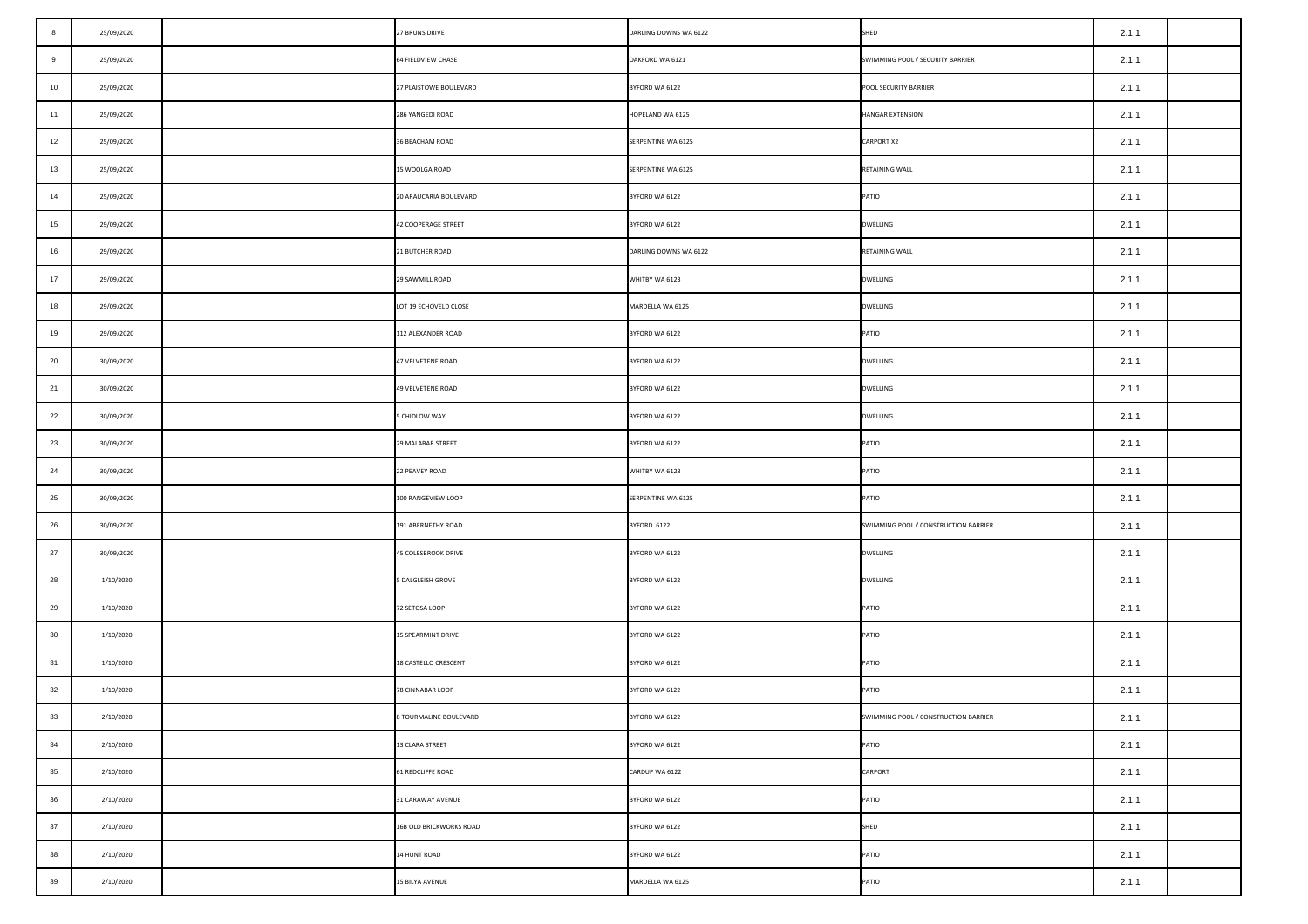| 8                | 25/09/2020 | 27 BRUNS DRIVE          | DARLING DOWNS WA 6122 | SHED                                 | 2.1.1 |  |
|------------------|------------|-------------------------|-----------------------|--------------------------------------|-------|--|
| 9                | 25/09/2020 | 64 FIELDVIEW CHASE      | OAKFORD WA 6121       | SWIMMING POOL / SECURITY BARRIER     | 2.1.1 |  |
| 10 <sub>1</sub>  | 25/09/2020 | 27 PLAISTOWE BOULEVARD  | BYFORD WA 6122        | POOL SECURITY BARRIER                | 2.1.1 |  |
| 11               | 25/09/2020 | 286 YANGEDI ROAD        | HOPELAND WA 6125      | <b>HANGAR EXTENSION</b>              | 2.1.1 |  |
| 12               | 25/09/2020 | 36 BEACHAM ROAD         | SERPENTINE WA 6125    | <b>CARPORT X2</b>                    | 2.1.1 |  |
| 13               | 25/09/2020 | 15 WOOLGA ROAD          | SERPENTINE WA 6125    | RETAINING WALL                       | 2.1.1 |  |
| 14               | 25/09/2020 | 20 ARAUCARIA BOULEVARD  | BYFORD WA 6122        | PATIO                                | 2.1.1 |  |
| 15               | 29/09/2020 | 42 COOPERAGE STREET     | BYFORD WA 6122        | <b>DWELLING</b>                      | 2.1.1 |  |
| 16               | 29/09/2020 | 21 BUTCHER ROAD         | DARLING DOWNS WA 6122 | RETAINING WALL                       | 2.1.1 |  |
| 17 <sup>17</sup> | 29/09/2020 | 29 SAWMILL ROAD         | WHITBY WA 6123        | <b>DWELLING</b>                      | 2.1.1 |  |
| 18               | 29/09/2020 | LOT 19 ECHOVELD CLOSE   | MARDELLA WA 6125      | <b>DWELLING</b>                      | 2.1.1 |  |
| 19               | 29/09/2020 | 112 ALEXANDER ROAD      | BYFORD WA 6122        | PATIO                                | 2.1.1 |  |
| 20               | 30/09/2020 | 47 VELVETENE ROAD       | BYFORD WA 6122        | <b>DWELLING</b>                      | 2.1.1 |  |
| 21               | 30/09/2020 | 49 VELVETENE ROAD       | BYFORD WA 6122        | <b>DWELLING</b>                      | 2.1.1 |  |
| 22               | 30/09/2020 | 5 CHIDLOW WAY           | BYFORD WA 6122        | <b>DWELLING</b>                      | 2.1.1 |  |
| 23               | 30/09/2020 | 29 MALABAR STREET       | BYFORD WA 6122        | PATIO                                | 2.1.1 |  |
| 24               | 30/09/2020 | <b>22 PEAVEY ROAD</b>   | WHITBY WA 6123        | PATIO                                | 2.1.1 |  |
| 25               | 30/09/2020 | 100 RANGEVIEW LOOP      | SERPENTINE WA 6125    | PATIO                                | 2.1.1 |  |
| 26               | 30/09/2020 | 191 ABERNETHY ROAD      | BYFORD 6122           | SWIMMING POOL / CONSTRUCTION BARRIER | 2.1.1 |  |
| 27               | 30/09/2020 | 45 COLESBROOK DRIVE     | BYFORD WA 6122        | <b>DWELLING</b>                      | 2.1.1 |  |
| 28               | 1/10/2020  | 5 DALGLEISH GROVE       | BYFORD WA 6122        | <b>DWELLING</b>                      | 2.1.1 |  |
| 29               | 1/10/2020  | 72 SETOSA LOOP          | BYFORD WA 6122        | PATIO                                | 2.1.1 |  |
| 30               | 1/10/2020  | 15 SPEARMINT DRIVE      | BYFORD WA 6122        | PATIO                                | 2.1.1 |  |
| 31               | 1/10/2020  | 18 CASTELLO CRESCENT    | BYFORD WA 6122        | PATIO                                | 2.1.1 |  |
| 32               | 1/10/2020  | 78 CINNABAR LOOP        | BYFORD WA 6122        | PATIO                                | 2.1.1 |  |
| 33               | 2/10/2020  | 8 TOURMALINE BOULEVARD  | BYFORD WA 6122        | SWIMMING POOL / CONSTRUCTION BARRIER | 2.1.1 |  |
| 34               | 2/10/2020  | 13 CLARA STREET         | BYFORD WA 6122        | PATIO                                | 2.1.1 |  |
| 35               | 2/10/2020  | 61 REDCLIFFE ROAD       | CARDUP WA 6122        | <b>CARPORT</b>                       | 2.1.1 |  |
| 36               | 2/10/2020  | 31 CARAWAY AVENUE       | BYFORD WA 6122        | PATIO                                | 2.1.1 |  |
| 37               | 2/10/2020  | 16B OLD BRICKWORKS ROAD | BYFORD WA 6122        | SHED                                 | 2.1.1 |  |
| 38               | 2/10/2020  | 14 HUNT ROAD            | BYFORD WA 6122        | PATIO                                | 2.1.1 |  |
| 39               | 2/10/2020  | <b>15 BILYA AVENUE</b>  | MARDELLA WA 6125      | PATIO                                | 2.1.1 |  |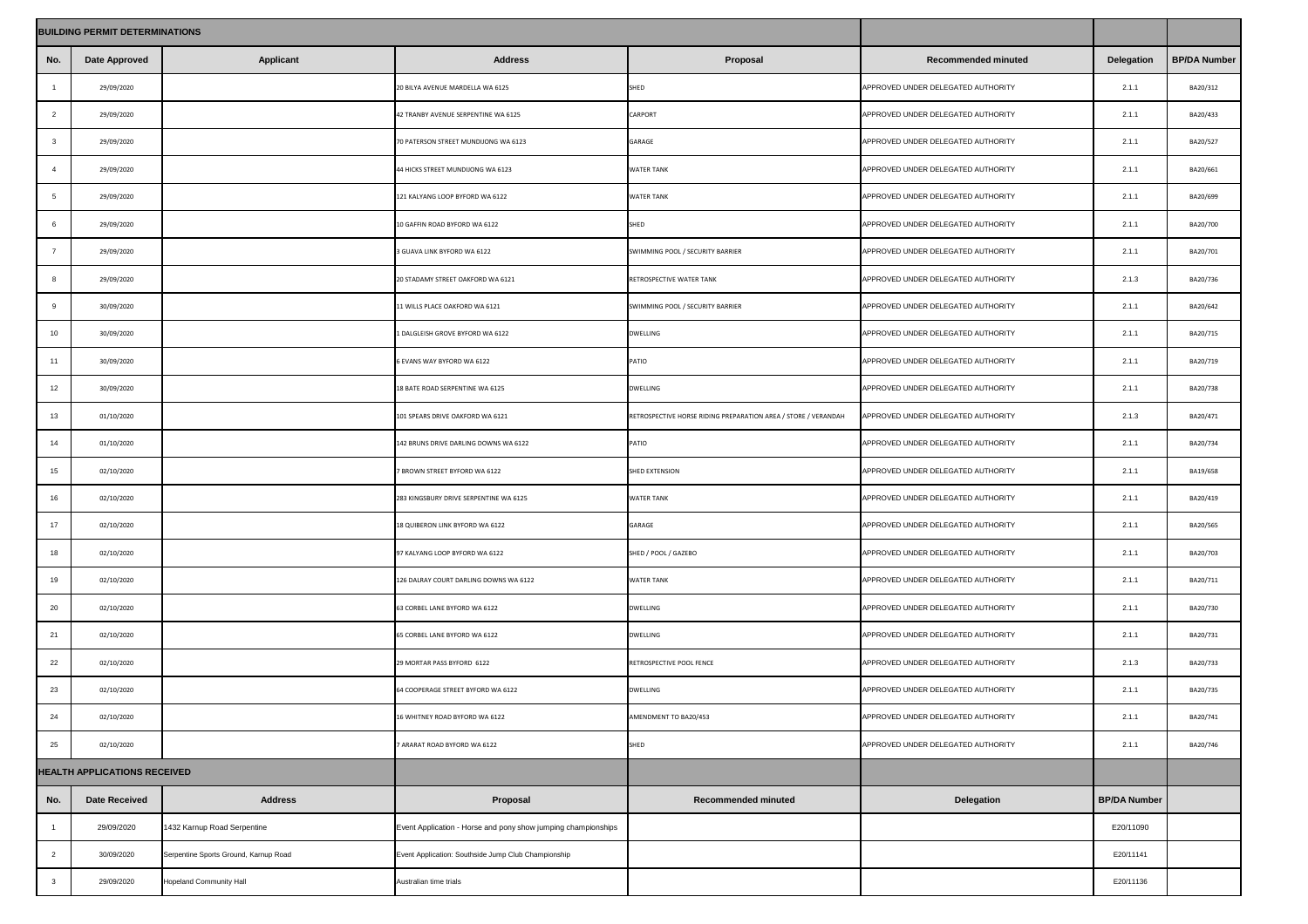| <b>BUILDING PERMIT DETERMINATIONS</b> |                                     |                                       |                                                               |                                                                |                                    |                     |                     |
|---------------------------------------|-------------------------------------|---------------------------------------|---------------------------------------------------------------|----------------------------------------------------------------|------------------------------------|---------------------|---------------------|
| No.                                   | <b>Date Approved</b>                | <b>Applicant</b>                      | <b>Address</b>                                                | Proposal                                                       | <b>Recommended minuted</b>         | <b>Delegation</b>   | <b>BP/DA Number</b> |
|                                       | 29/09/2020                          |                                       | 20 BILYA AVENUE MARDELLA WA 6125                              | SHED                                                           | APPROVED UNDER DELEGATED AUTHORITY | 2.1.1               | BA20/312            |
| $\overline{2}$                        | 29/09/2020                          |                                       | 42 TRANBY AVENUE SERPENTINE WA 6125                           | <b>CARPORT</b>                                                 | APPROVED UNDER DELEGATED AUTHORITY | 2.1.1               | BA20/433            |
|                                       | 29/09/2020                          |                                       | 70 PATERSON STREET MUNDIJONG WA 6123                          | <b>GARAGE</b>                                                  | APPROVED UNDER DELEGATED AUTHORITY | 2.1.1               | BA20/527            |
|                                       | 29/09/2020                          |                                       | 44 HICKS STREET MUNDIJONG WA 6123                             | <b>WATER TANK</b>                                              | APPROVED UNDER DELEGATED AUTHORITY | 2.1.1               | BA20/661            |
|                                       | 29/09/2020                          |                                       | 121 KALYANG LOOP BYFORD WA 6122                               | <b>WATER TANK</b>                                              | APPROVED UNDER DELEGATED AUTHORITY | 2.1.1               | BA20/699            |
|                                       | 29/09/2020                          |                                       | 10 GAFFIN ROAD BYFORD WA 6122                                 | <b>SHED</b>                                                    | APPROVED UNDER DELEGATED AUTHORITY | 2.1.1               | BA20/700            |
|                                       | 29/09/2020                          |                                       | 3 GUAVA LINK BYFORD WA 6122                                   | SWIMMING POOL / SECURITY BARRIER                               | APPROVED UNDER DELEGATED AUTHORITY | 2.1.1               | BA20/701            |
|                                       | 29/09/2020                          |                                       | 20 STADAMY STREET OAKFORD WA 6121                             | RETROSPECTIVE WATER TANK                                       | APPROVED UNDER DELEGATED AUTHORITY | 2.1.3               | BA20/736            |
|                                       | 30/09/2020                          |                                       | 11 WILLS PLACE OAKFORD WA 6121                                | SWIMMING POOL / SECURITY BARRIER                               | APPROVED UNDER DELEGATED AUTHORITY | 2.1.1               | BA20/642            |
| 10                                    | 30/09/2020                          |                                       | 1 DALGLEISH GROVE BYFORD WA 6122                              | <b>DWELLING</b>                                                | APPROVED UNDER DELEGATED AUTHORITY | 2.1.1               | BA20/715            |
| 11                                    | 30/09/2020                          |                                       | 6 EVANS WAY BYFORD WA 6122                                    | <b>PATIO</b>                                                   | APPROVED UNDER DELEGATED AUTHORITY | 2.1.1               | BA20/719            |
| 12                                    | 30/09/2020                          |                                       | 18 BATE ROAD SERPENTINE WA 6125                               | <b>DWELLING</b>                                                | APPROVED UNDER DELEGATED AUTHORITY | 2.1.1               | BA20/738            |
| 13                                    | 01/10/2020                          |                                       | 101 SPEARS DRIVE OAKFORD WA 6121                              | RETROSPECTIVE HORSE RIDING PREPARATION AREA / STORE / VERANDAH | APPROVED UNDER DELEGATED AUTHORITY | 2.1.3               | BA20/471            |
| 14                                    | 01/10/2020                          |                                       | 142 BRUNS DRIVE DARLING DOWNS WA 6122                         | <b>PATIO</b>                                                   | APPROVED UNDER DELEGATED AUTHORITY | 2.1.1               | BA20/734            |
| 15 <sub>15</sub>                      | 02/10/2020                          |                                       | 7 BROWN STREET BYFORD WA 6122                                 | <b>SHED EXTENSION</b>                                          | APPROVED UNDER DELEGATED AUTHORITY | 2.1.1               | BA19/658            |
| 16                                    | 02/10/2020                          |                                       | 283 KINGSBURY DRIVE SERPENTINE WA 6125                        | <b>WATER TANK</b>                                              | APPROVED UNDER DELEGATED AUTHORITY | 2.1.1               | BA20/419            |
| 17                                    | 02/10/2020                          |                                       | 18 QUIBERON LINK BYFORD WA 6122                               | <b>GARAGE</b>                                                  | APPROVED UNDER DELEGATED AUTHORITY | 2.1.1               | BA20/565            |
| 18                                    | 02/10/2020                          |                                       | 97 KALYANG LOOP BYFORD WA 6122                                | SHED / POOL / GAZEBO                                           | APPROVED UNDER DELEGATED AUTHORITY | 2.1.1               | BA20/703            |
| 19                                    | 02/10/2020                          |                                       | 126 DALRAY COURT DARLING DOWNS WA 6122                        | <b>WATER TANK</b>                                              | APPROVED UNDER DELEGATED AUTHORITY | 2.1.1               | BA20/711            |
| 20                                    | 02/10/2020                          |                                       | 63 CORBEL LANE BYFORD WA 6122                                 | <b>DWELLING</b>                                                | APPROVED UNDER DELEGATED AUTHORITY | 2.1.1               | BA20/730            |
| 21                                    | 02/10/2020                          |                                       | 65 CORBEL LANE BYFORD WA 6122                                 | <b>DWELLING</b>                                                | APPROVED UNDER DELEGATED AUTHORITY | 2.1.1               | BA20/731            |
| 22                                    | 02/10/2020                          |                                       | 29 MORTAR PASS BYFORD 6122                                    | RETROSPECTIVE POOL FENCE                                       | APPROVED UNDER DELEGATED AUTHORITY | 2.1.3               | BA20/733            |
| 23                                    | 02/10/2020                          |                                       | 64 COOPERAGE STREET BYFORD WA 6122                            | <b>DWELLING</b>                                                | APPROVED UNDER DELEGATED AUTHORITY | 2.1.1               | BA20/735            |
| 24                                    | 02/10/2020                          |                                       | 16 WHITNEY ROAD BYFORD WA 6122                                | AMENDMENT TO BA20/453                                          | APPROVED UNDER DELEGATED AUTHORITY | 2.1.1               | BA20/741            |
| 25                                    | 02/10/2020                          |                                       | 7 ARARAT ROAD BYFORD WA 6122                                  | SHED                                                           | APPROVED UNDER DELEGATED AUTHORITY | 2.1.1               | BA20/746            |
|                                       | <b>HEALTH APPLICATIONS RECEIVED</b> |                                       |                                                               |                                                                |                                    |                     |                     |
| No.                                   | <b>Date Received</b>                | <b>Address</b>                        | Proposal                                                      | <b>Recommended minuted</b>                                     | <b>Delegation</b>                  | <b>BP/DA Number</b> |                     |
|                                       | 29/09/2020                          | 1432 Karnup Road Serpentine           | Event Application - Horse and pony show jumping championships |                                                                |                                    | E20/11090           |                     |
|                                       | 30/09/2020                          | Serpentine Sports Ground, Karnup Road | Event Application: Southside Jump Club Championship           |                                                                |                                    | E20/11141           |                     |
| $\mathbf{3}$                          | 29/09/2020                          | <b>Hopeland Community Hall</b>        | Australian time trials                                        |                                                                |                                    | E20/11136           |                     |